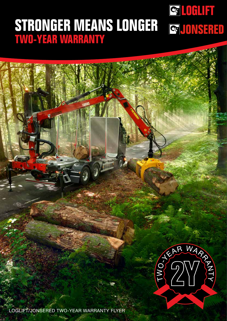### **STRONGER MEANS LONGER TWO-YEAR WARRANTY**

## ES (PI) WARN RE

Q OFLET

LOGLIFT/JONSERED TWO-YEAR WARRANTY FLYER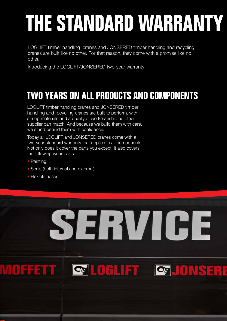### THE STANDARD WARRANTY

LOGLIFT timber handling cranes and JONSERED timber handling and recycling cranes are built like no other. For that reason, they come with a promise like no other.

Introducing the LOGLIFT/JONSERED two-year warranty.

### **TWO YEARS ON ALL PRODUCTS AND COMPONENTS**

LOGLIFT timber handling cranes and JONSERED timber handling and recycling cranes are built to perform, with strong materials and a quality of workmanship no other supplier can match. And because we build them with care, we stand behind them with confidence.

Today all LOGLIFT and JONSERED cranes come with a two-year standard warranty that applies to all components. Not only does it cover the parts you expect, it also covers the following wear parts:

• Painting

2

- Seals (both internal and external)
- Flexible hoses

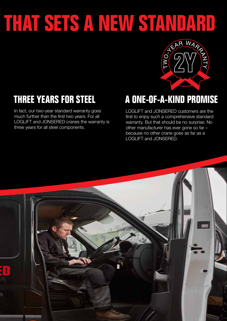# THAT SETS A NEW STANDARD



### **THREE YEARS FOR STEEL**

In fact, our two-year standard warranty goes much further than the first two years. For all LOGLIFT and JONSERED cranes the warranty is three years for all steel components.

### **A ONE-OF-A-KIND PROMISE**

LOGLIFT and JONSERED customers are the first to enjoy such a comprehensive standard warranty. But that should be no surprise. No other manufacturer has ever gone so far – because no other crane goes as far as a LOGLIFT and JONSERED.